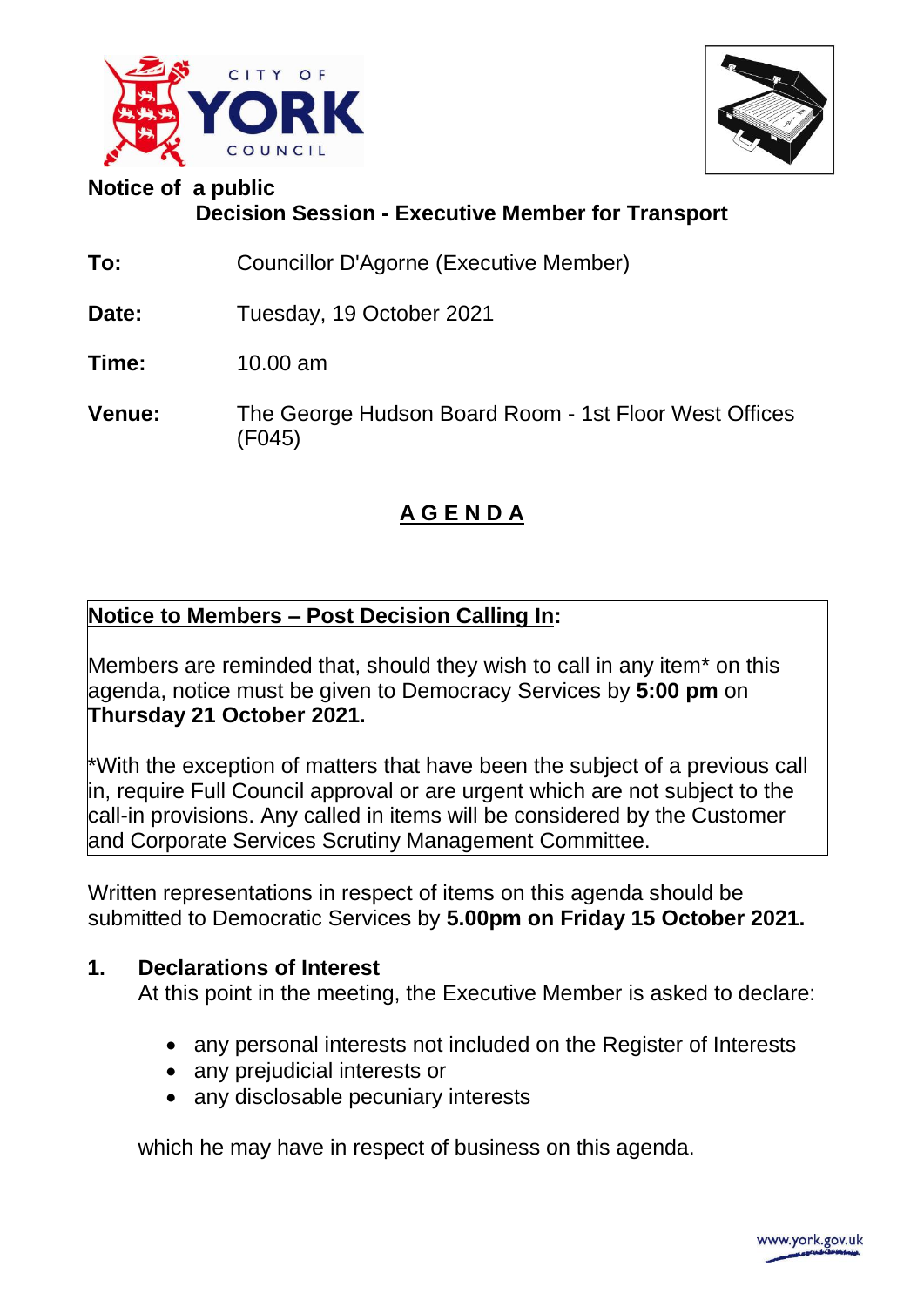



# **Notice of a public Decision Session - Executive Member for Transport**

- **To:** Councillor D'Agorne (Executive Member)
- **Date:** Tuesday, 19 October 2021
- **Time:** 10.00 am
- **Venue:** The George Hudson Board Room 1st Floor West Offices (F045)

## **A G E N D A**

## **Notice to Members – Post Decision Calling In:**

Members are reminded that, should they wish to call in any item\* on this agenda, notice must be given to Democracy Services by **5:00 pm** on **Thursday 21 October 2021.** 

\*With the exception of matters that have been the subject of a previous call in, require Full Council approval or are urgent which are not subject to the call-in provisions. Any called in items will be considered by the Customer and Corporate Services Scrutiny Management Committee.

Written representations in respect of items on this agenda should be submitted to Democratic Services by **5.00pm on Friday 15 October 2021.**

#### **1. Declarations of Interest**

At this point in the meeting, the Executive Member is asked to declare:

- any personal interests not included on the Register of Interests
- any prejudicial interests or
- any disclosable pecuniary interests

which he may have in respect of business on this agenda.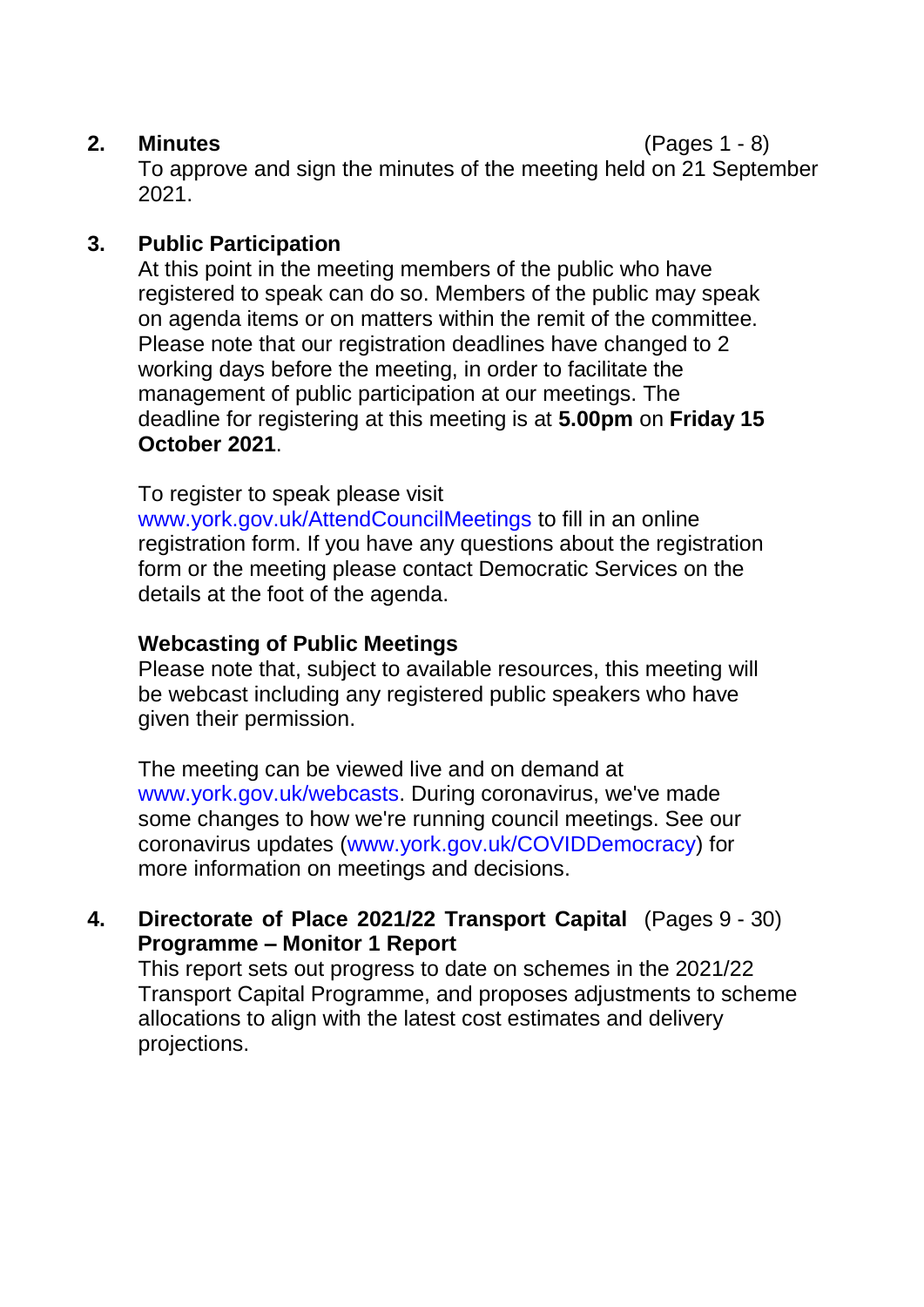#### **2. Minutes** (Pages 1 - 8)

To approve and sign the minutes of the meeting held on 21 September 2021.

## **3. Public Participation**

At this point in the meeting members of the public who have registered to speak can do so. Members of the public may speak on agenda items or on matters within the remit of the committee. Please note that our registration deadlines have changed to 2 working days before the meeting, in order to facilitate the management of public participation at our meetings. The deadline for registering at this meeting is at **5.00pm** on **Friday 15 October 2021**.

To register to speak please visit

www.york.gov.uk/AttendCouncilMeetings to fill in an online registration form. If you have any questions about the registration form or the meeting please contact Democratic Services on the details at the foot of the agenda.

## **Webcasting of Public Meetings**

Please note that, subject to available resources, this meeting will be webcast including any registered public speakers who have given their permission.

The meeting can be viewed live and on demand at www.york.gov.uk/webcasts. During coronavirus, we've made some changes to how we're running council meetings. See our coronavirus updates (www.york.gov.uk/COVIDDemocracy) for more information on meetings and decisions.

#### **4. Directorate of Place 2021/22 Transport Capital** (Pages 9 - 30) **Programme – Monitor 1 Report**

This report sets out progress to date on schemes in the 2021/22 Transport Capital Programme, and proposes adjustments to scheme allocations to align with the latest cost estimates and delivery projections.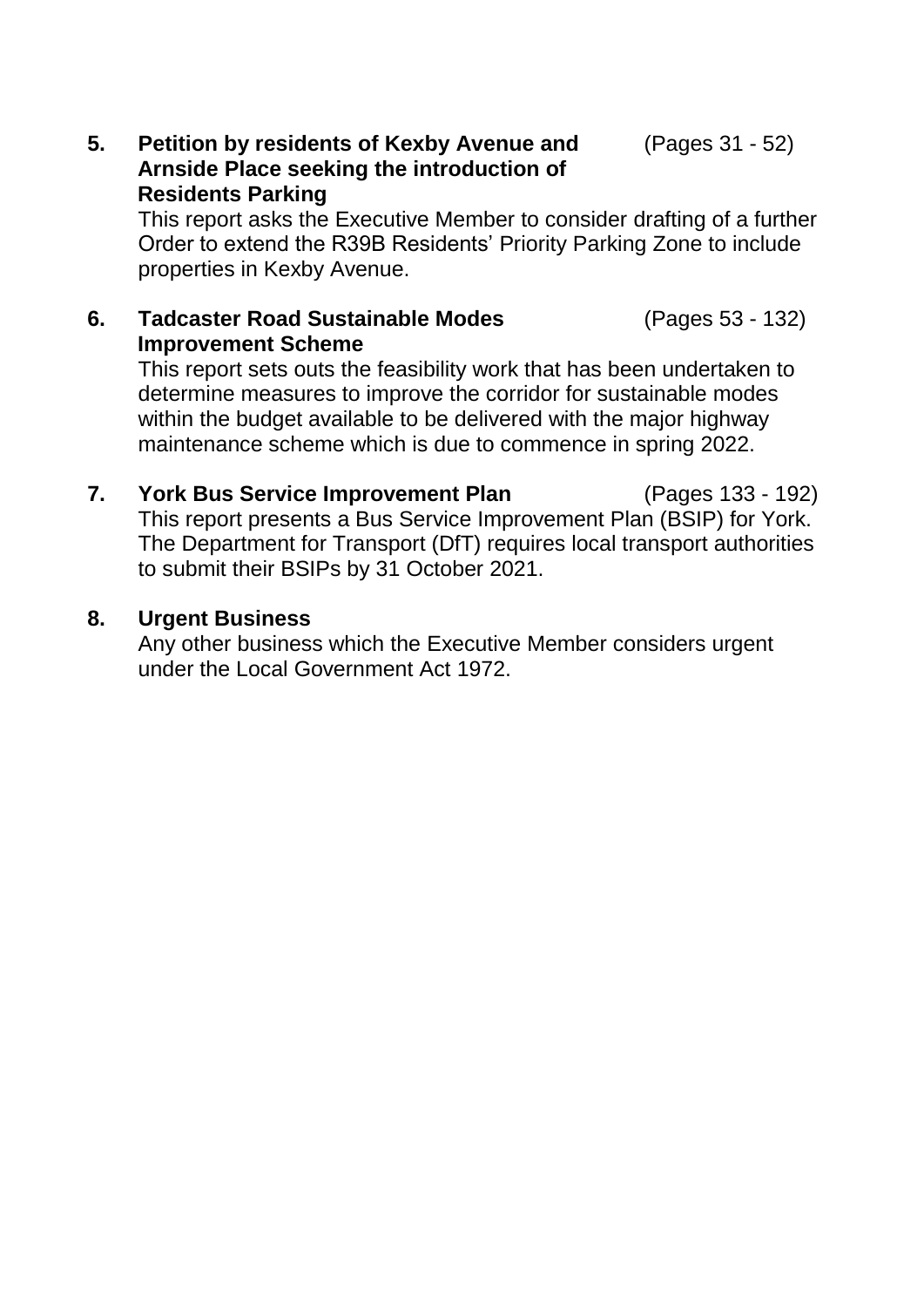(Pages 53 - 132)

#### **5. Petition by residents of Kexby Avenue and Arnside Place seeking the introduction of Residents Parking**

This report asks the Executive Member to consider drafting of a further Order to extend the R39B Residents' Priority Parking Zone to include properties in Kexby Avenue.

#### **6. Tadcaster Road Sustainable Modes Improvement Scheme**

This report sets outs the feasibility work that has been undertaken to determine measures to improve the corridor for sustainable modes within the budget available to be delivered with the major highway maintenance scheme which is due to commence in spring 2022.

**7. York Bus Service Improvement Plan** (Pages 133 - 192) This report presents a Bus Service Improvement Plan (BSIP) for York. The Department for Transport (DfT) requires local transport authorities to submit their BSIPs by 31 October 2021.

## **8. Urgent Business**

Any other business which the Executive Member considers urgent under the Local Government Act 1972.